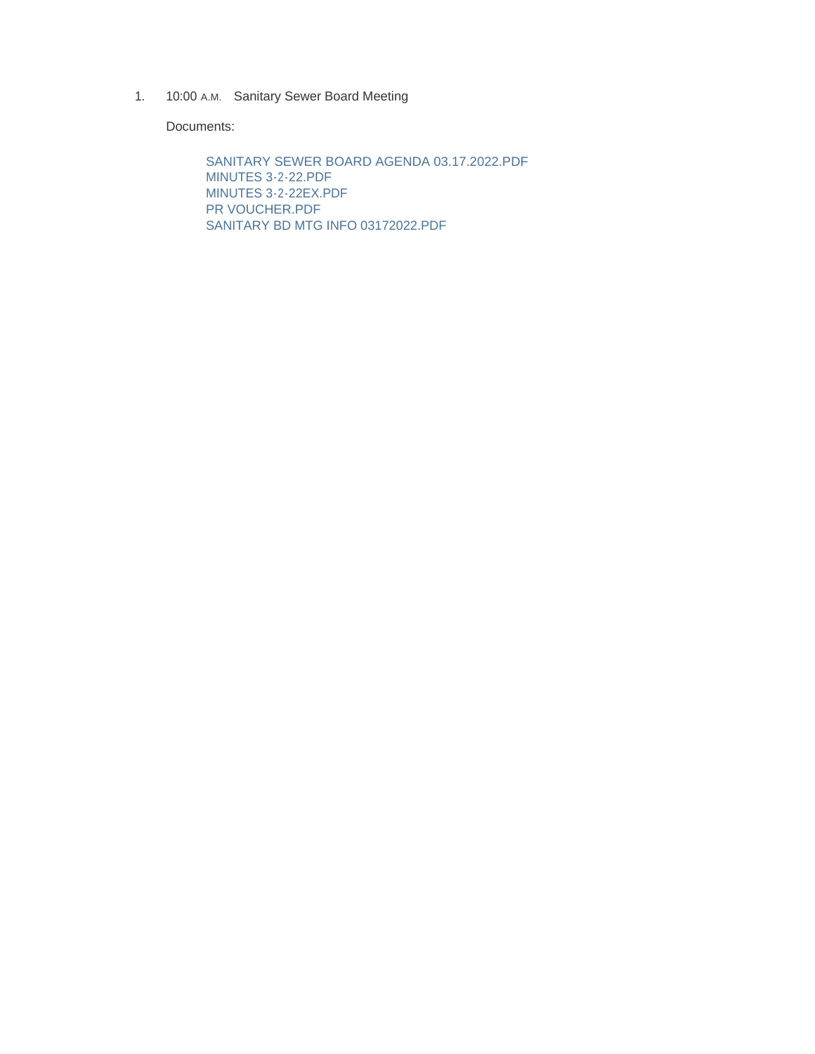1. 10:00 A.M. Sanitary Sewer Board Meeting

Documents:

SANITARY SEWER BOARD AGENDA 03.17.2022.PDF MINUTES 3-2-22.PDF MINUTES 3-2-22EX.PDF PR VOUCHER.PDF SANITARY BD MTG INFO 03172022.PDF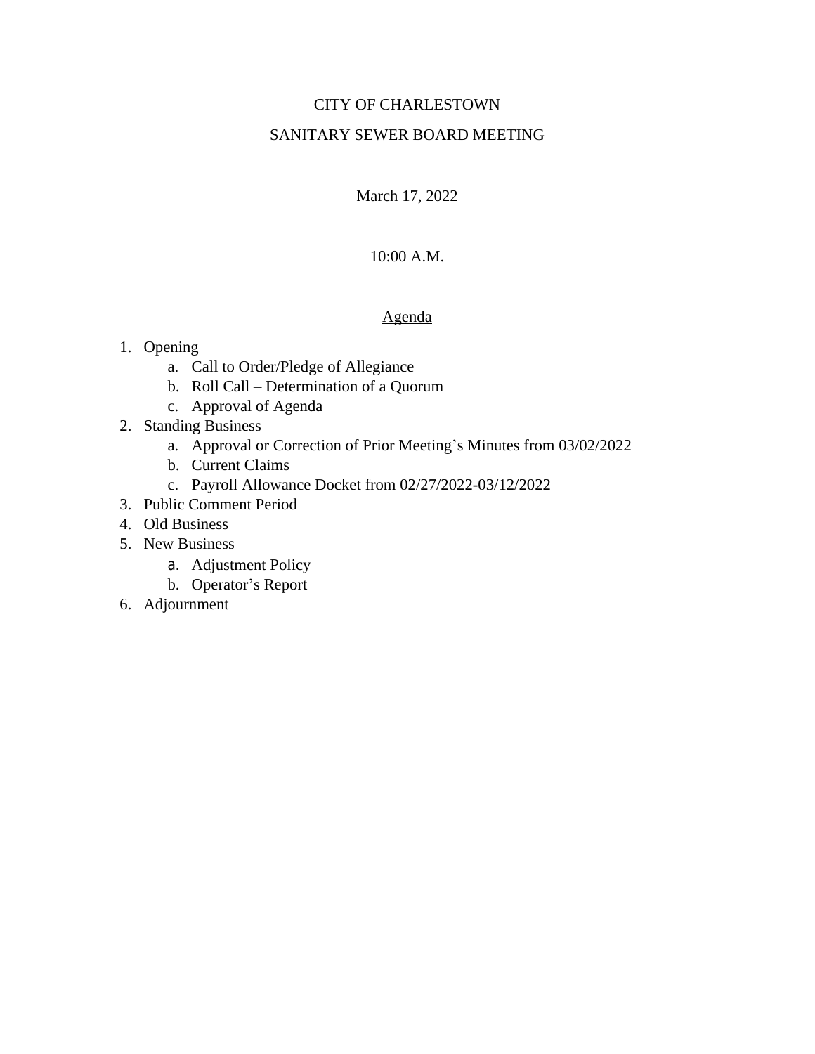# CITY OF CHARLESTOWN

## SANITARY SEWER BOARD MEETING

March 17, 2022

# 10:00 A.M.

#### Agenda

## 1. Opening

- a. Call to Order/Pledge of Allegiance
- b. Roll Call Determination of a Quorum
- c. Approval of Agenda
- 2. Standing Business
	- a. Approval or Correction of Prior Meeting's Minutes from 03/02/2022
	- b. Current Claims
	- c. Payroll Allowance Docket from 02/27/2022-03/12/2022
- 3. Public Comment Period
- 4. Old Business
- 5. New Business
	- a. Adjustment Policy
	- b. Operator's Report
- 6. Adjournment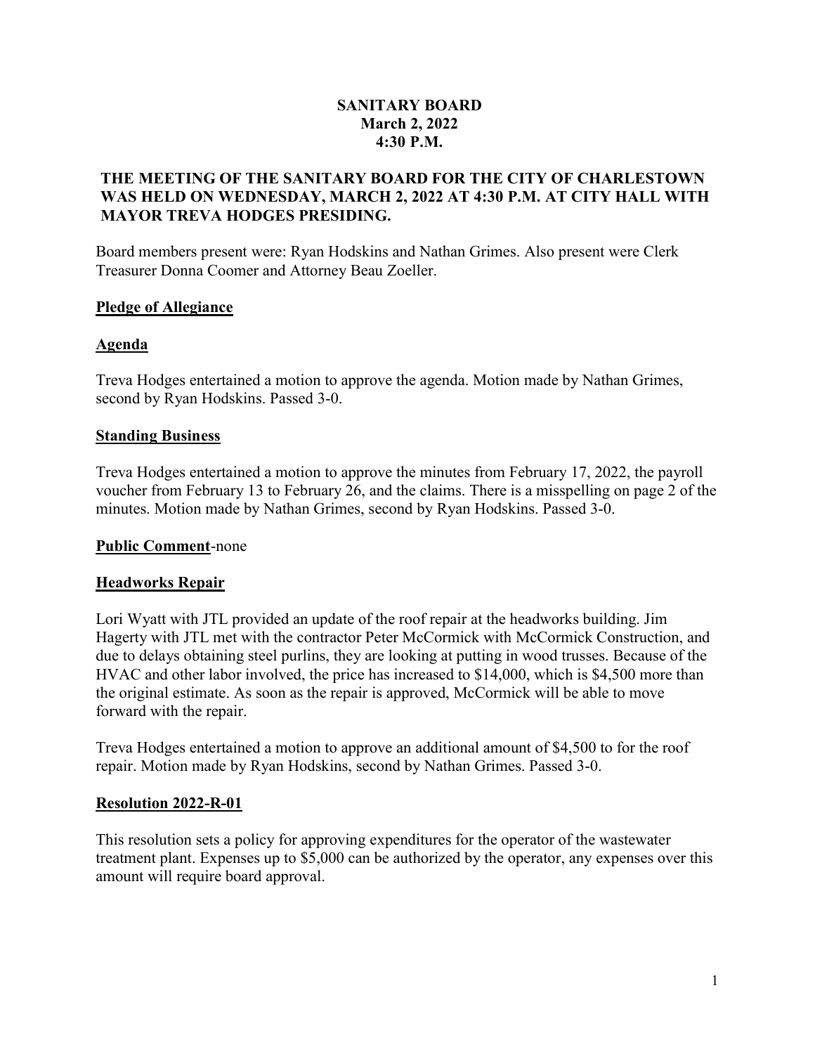# SANITARY BOARD March 2, 2022 4:30 P.M.

## THE MEETING OF THE SANITARY BOARD FOR THE CITY OF CHARLESTOWN WAS HELD ON WEDNESDAY, MARCH 2, 2022 AT 4:30 P.M. AT CITY HALL WITH MAYOR TREVA HODGES PRESIDING.

Board members present were: Ryan Hodskins and Nathan Grimes. Also present were Clerk Treasurer Donna Coomer and Attorney Beau Zoeller.

## Pledge of Allegiance

## Agenda

Treva Hodges entertained a motion to approve the agenda. Motion made by Nathan Grimes, second by Ryan Hodskins. Passed 3-0.

## Standing Business

Treva Hodges entertained a motion to approve the minutes from February 17, 2022, the payroll voucher from February 13 to February 26, and the claims. There is a misspelling on page 2 of the minutes. Motion made by Nathan Grimes, second by Ryan Hodskins. Passed 3-0.

## Public Comment-none

## Headworks Repair

Lori Wyatt with JTL provided an update of the roof repair at the headworks building. Jim Hagerty with JTL met with the contractor Peter McCormick with McCormick Construction, and due to delays obtaining steel purlins, they are looking at putting in wood trusses. Because of the HVAC and other labor involved, the price has increased to \$14,000, which is \$4,500 more than the original estimate. As soon as the repair is approved, McCormick will be able to move forward with the repair.

Treva Hodges entertained a motion to approve an additional amount of \$4,500 to for the roof repair. Motion made by Ryan Hodskins, second by Nathan Grimes. Passed 3-0.

## Resolution 2022-R-01

This resolution sets a policy for approving expenditures for the operator of the wastewater treatment plant. Expenses up to \$5,000 can be authorized by the operator, any expenses over this amount will require board approval.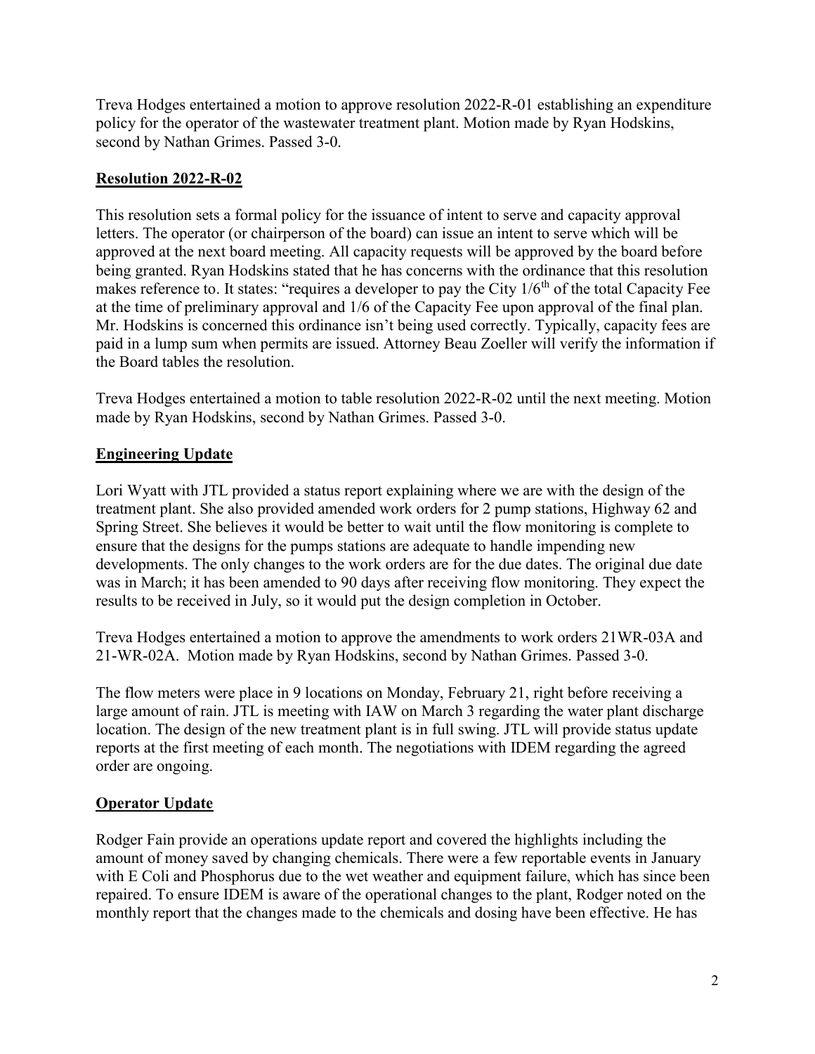Treva Hodges entertained a motion to approve resolution 2022-R-01 establishing an expenditure policy for the operator of the wastewater treatment plant. Motion made by Ryan Hodskins, second by Nathan Grimes. Passed 3-0.

# Resolution 2022-R-02

This resolution sets a formal policy for the issuance of intent to serve and capacity approval letters. The operator (or chairperson of the board) can issue an intent to serve which will be approved at the next board meeting. All capacity requests will be approved by the board before being granted. Ryan Hodskins stated that he has concerns with the ordinance that this resolution makes reference to. It states: "requires a developer to pay the City  $1/6<sup>th</sup>$  of the total Capacity Fee at the time of preliminary approval and 1/6 of the Capacity Fee upon approval of the final plan. Mr. Hodskins is concerned this ordinance isn't being used correctly. Typically, capacity fees are paid in a lump sum when permits are issued. Attorney Beau Zoeller will verify the information if the Board tables the resolution.

Treva Hodges entertained a motion to table resolution 2022-R-02 until the next meeting. Motion made by Ryan Hodskins, second by Nathan Grimes. Passed 3-0.

# Engineering Update

Lori Wyatt with JTL provided a status report explaining where we are with the design of the treatment plant. She also provided amended work orders for 2 pump stations, Highway 62 and Spring Street. She believes it would be better to wait until the flow monitoring is complete to ensure that the designs for the pumps stations are adequate to handle impending new developments. The only changes to the work orders are for the due dates. The original due date was in March; it has been amended to 90 days after receiving flow monitoring. They expect the results to be received in July, so it would put the design completion in October.

Treva Hodges entertained a motion to approve the amendments to work orders 21WR-03A and 21-WR-02A. Motion made by Ryan Hodskins, second by Nathan Grimes. Passed 3-0.

The flow meters were place in 9 locations on Monday, February 21, right before receiving a large amount of rain. JTL is meeting with IAW on March 3 regarding the water plant discharge location. The design of the new treatment plant is in full swing. JTL will provide status update reports at the first meeting of each month. The negotiations with IDEM regarding the agreed order are ongoing.

# Operator Update

Rodger Fain provide an operations update report and covered the highlights including the amount of money saved by changing chemicals. There were a few reportable events in January with E Coli and Phosphorus due to the wet weather and equipment failure, which has since been repaired. To ensure IDEM is aware of the operational changes to the plant, Rodger noted on the monthly report that the changes made to the chemicals and dosing have been effective. He has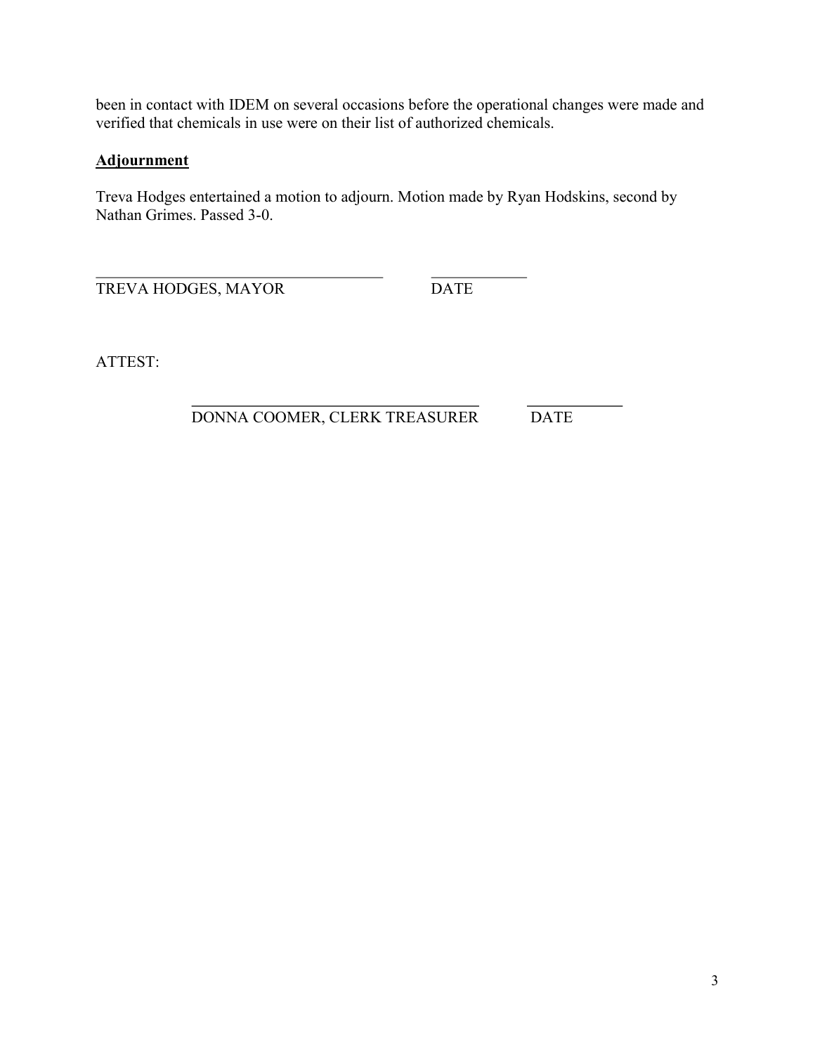been in contact with IDEM on several occasions before the operational changes were made and verified that chemicals in use were on their list of authorized chemicals.

# **Adjournment**

Treva Hodges entertained a motion to adjourn. Motion made by Ryan Hodskins, second by Nathan Grimes. Passed 3-0.

 $\overline{a}$ TREVA HODGES, MAYOR DATE

ATTEST:

## $\overline{a}$ DONNA COOMER, CLERK TREASURER DATE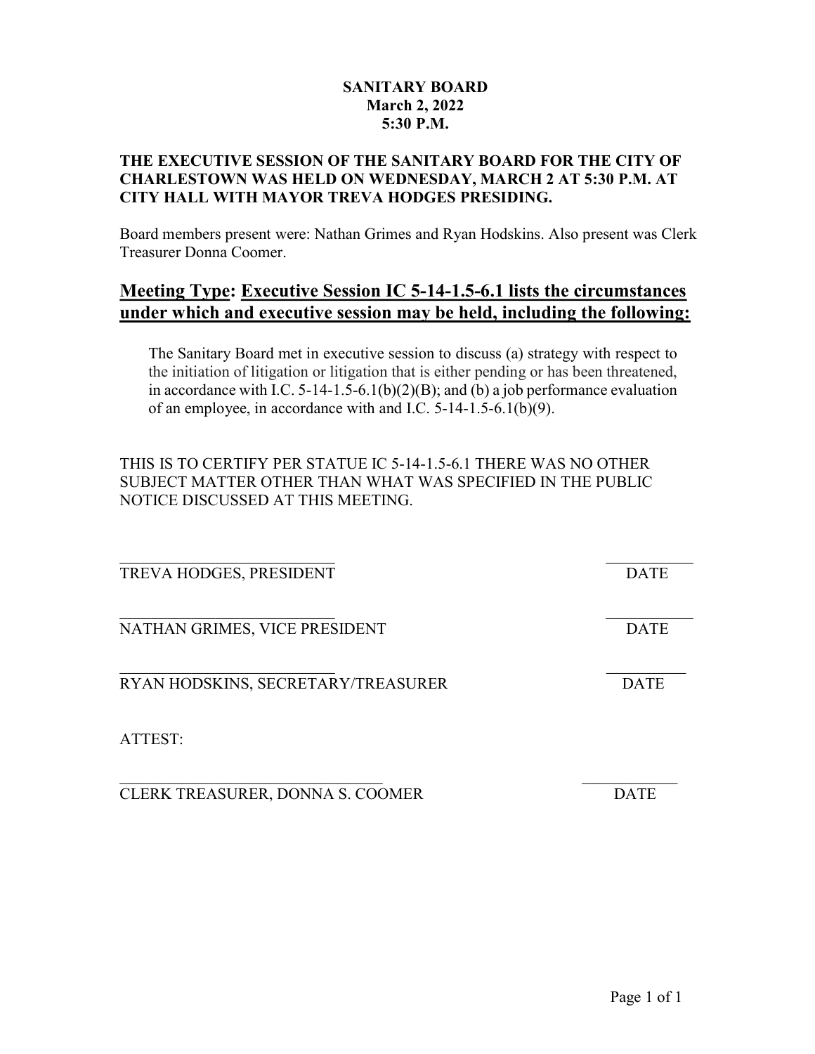## SANITARY BOARD March 2, 2022 5:30 P.M.

# THE EXECUTIVE SESSION OF THE SANITARY BOARD FOR THE CITY OF CHARLESTOWN WAS HELD ON WEDNESDAY, MARCH 2 AT 5:30 P.M. AT CITY HALL WITH MAYOR TREVA HODGES PRESIDING.

Board members present were: Nathan Grimes and Ryan Hodskins. Also present was Clerk Treasurer Donna Coomer.

# Meeting Type: Executive Session IC 5-14-1.5-6.1 lists the circumstances under which and executive session may be held, including the following:

The Sanitary Board met in executive session to discuss (a) strategy with respect to the initiation of litigation or litigation that is either pending or has been threatened, in accordance with I.C.  $5-14-1.5-6.1(b)(2)(B)$ ; and (b) a job performance evaluation of an employee, in accordance with and I.C. 5-14-1.5-6.1(b)(9).

THIS IS TO CERTIFY PER STATUE IC 5-14-1.5-6.1 THERE WAS NO OTHER SUBJECT MATTER OTHER THAN WHAT WAS SPECIFIED IN THE PUBLIC NOTICE DISCUSSED AT THIS MEETING.

| TREVA HODGES, PRESIDENT            | <b>DATE</b> |
|------------------------------------|-------------|
| NATHAN GRIMES, VICE PRESIDENT      | <b>DATE</b> |
| RYAN HODSKINS, SECRETARY/TREASURER | <b>DATE</b> |
| ATTEST:                            |             |
| CLERK TREASURER, DONNA S. COOMER   | <b>DATE</b> |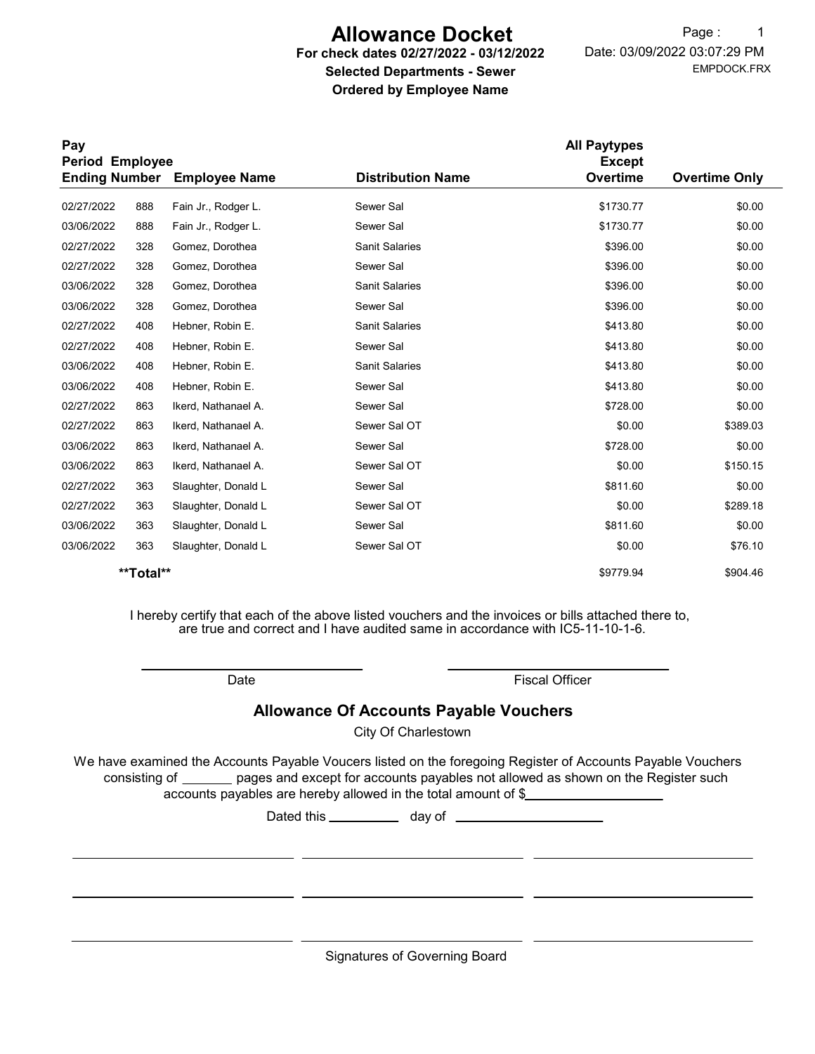# Allowance Docket

#### For check dates 02/27/2022 - 03/12/2022 Selected Departments - Sewer Ordered by Employee Name

EMPDOCK.FRX Date: 03/09/2022 03:07:29 PM Page: 1

| Pay<br><b>Period Employee</b> |           |                      |                          | <b>All Paytypes</b><br><b>Except</b> |                      |
|-------------------------------|-----------|----------------------|--------------------------|--------------------------------------|----------------------|
| <b>Ending Number</b>          |           | <b>Employee Name</b> | <b>Distribution Name</b> | Overtime                             | <b>Overtime Only</b> |
| 02/27/2022                    | 888       | Fain Jr., Rodger L.  | Sewer Sal                | \$1730.77                            | \$0.00               |
| 03/06/2022                    | 888       | Fain Jr., Rodger L.  | Sewer Sal                | \$1730.77                            | \$0.00               |
| 02/27/2022                    | 328       | Gomez, Dorothea      | <b>Sanit Salaries</b>    | \$396.00                             | \$0.00               |
| 02/27/2022                    | 328       | Gomez, Dorothea      | Sewer Sal                | \$396.00                             | \$0.00               |
| 03/06/2022                    | 328       | Gomez, Dorothea      | <b>Sanit Salaries</b>    | \$396.00                             | \$0.00               |
| 03/06/2022                    | 328       | Gomez, Dorothea      | Sewer Sal                | \$396.00                             | \$0.00               |
| 02/27/2022                    | 408       | Hebner, Robin E.     | <b>Sanit Salaries</b>    | \$413.80                             | \$0.00               |
| 02/27/2022                    | 408       | Hebner, Robin E.     | Sewer Sal                | \$413.80                             | \$0.00               |
| 03/06/2022                    | 408       | Hebner, Robin E.     | <b>Sanit Salaries</b>    | \$413.80                             | \$0.00               |
| 03/06/2022                    | 408       | Hebner, Robin E.     | Sewer Sal                | \$413.80                             | \$0.00               |
| 02/27/2022                    | 863       | Ikerd, Nathanael A.  | Sewer Sal                | \$728.00                             | \$0.00               |
| 02/27/2022                    | 863       | Ikerd, Nathanael A.  | Sewer Sal OT             | \$0.00                               | \$389.03             |
| 03/06/2022                    | 863       | Ikerd, Nathanael A.  | Sewer Sal                | \$728.00                             | \$0.00               |
| 03/06/2022                    | 863       | Ikerd, Nathanael A.  | Sewer Sal OT             | \$0.00                               | \$150.15             |
| 02/27/2022                    | 363       | Slaughter, Donald L  | Sewer Sal                | \$811.60                             | \$0.00               |
| 02/27/2022                    | 363       | Slaughter, Donald L  | Sewer Sal OT             | \$0.00                               | \$289.18             |
| 03/06/2022                    | 363       | Slaughter, Donald L  | Sewer Sal                | \$811.60                             | \$0.00               |
| 03/06/2022                    | 363       | Slaughter, Donald L  | Sewer Sal OT             | \$0.00                               | \$76.10              |
|                               | **Total** |                      |                          | \$9779.94                            | \$904.46             |

I hereby certify that each of the above listed vouchers and the invoices or bills attached there to, are true and correct and I have audited same in accordance with IC5-11-10-1-6.

Date **Date Fiscal Officer** 

## Allowance Of Accounts Payable Vouchers

City Of Charlestown

We have examined the Accounts Payable Voucers listed on the foregoing Register of Accounts Payable Vouchers accounts payables are hereby allowed in the total amount of \$ consisting of \_\_\_\_\_\_ pages and except for accounts payables not allowed as shown on the Register such

Dated this day of

Signatures of Governing Board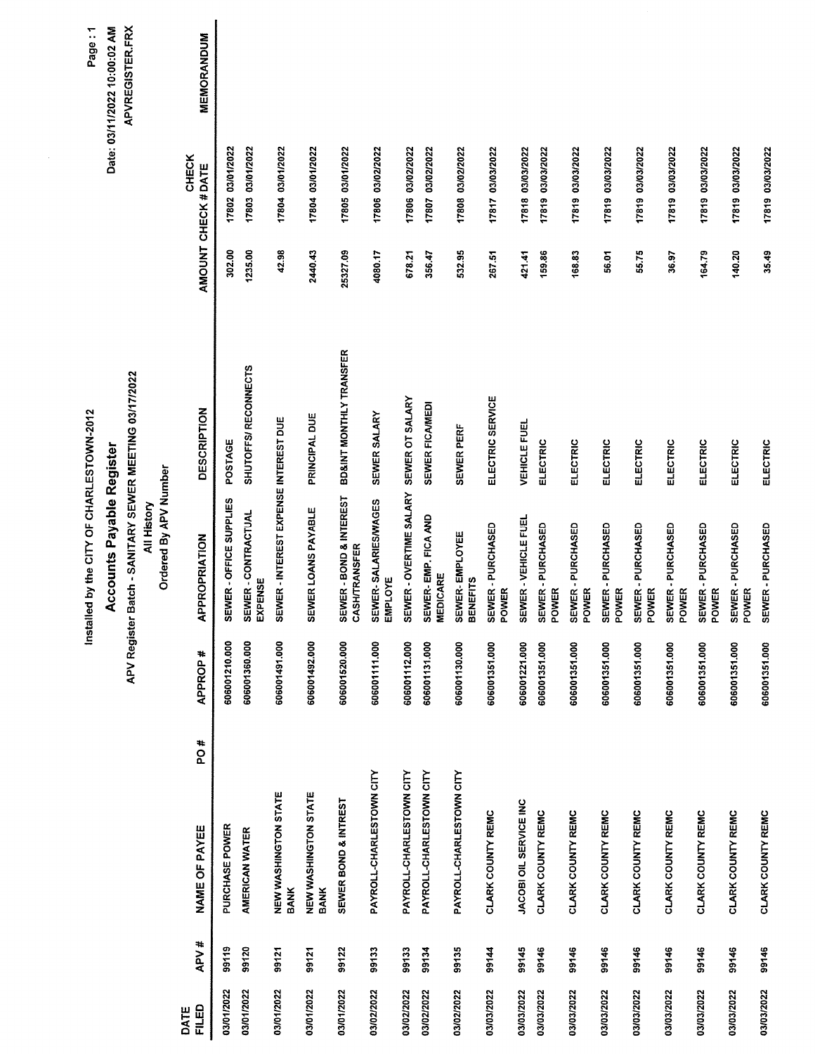|               |       |                                     |                | <b>NUMBER OF STATE STATES!</b>                                        |                         |          |                             | Page: 1                      |
|---------------|-------|-------------------------------------|----------------|-----------------------------------------------------------------------|-------------------------|----------|-----------------------------|------------------------------|
|               |       |                                     |                | <b>Accounts Payable Register</b>                                      |                         |          |                             | Date: 03/11/2022 10:00:02 AM |
|               |       |                                     |                | APV Register Batch - SANITARY SEWER MEETING 03/17/2022<br>All History |                         |          |                             | <b>APVREGISTER.FRX</b>       |
|               |       |                                     |                | Ordered By APV Number                                                 |                         |          |                             |                              |
| FILED<br>DATE | APV#  | PO#<br>NAME OF PAYEE                | <b>APPROP#</b> | APPROPRIATION                                                         | <b>DESCRIPTION</b>      |          | CHECK<br>AMOUNT CHECK #DATE | MEMORANDUM                   |
| 03/01/2022    | 99119 | PURCHASE POWER                      | 606001210.000  | SEWER - OFFICE SUPPLIES                                               | POSTAGE                 | 302.00   | 17802 03/01/2022            |                              |
| 03/01/2022    | 99120 | AMERICAN WATER                      | 606001360.000  | SEWER - CONTRACTUAL<br>EXPENSE                                        | SHUTOFFS/RECONNECTS     | 1235.00  | 17803 03/01/2022            |                              |
| 03/01/2022    | 99121 | NEW WASHINGTON STATE<br><b>BANK</b> | 606001491.000  | SEWER - INTEREST EXPENSE INTEREST DUE                                 |                         | 42.98    | 17804 03/01/2022            |                              |
| 03/01/2022    | 99121 | NEW WASHINGTON STATE<br><b>BANK</b> | 606001492.000  | SEWER LOANS PAYABLE                                                   | PRINCIPAL DUE           | 2440.43  | 17804 03/01/2022            |                              |
| 03/01/2022    | 99122 | SEWER BOND & INTREST                | 606001520.000  | SEWER - BOND & INTEREST<br><b>CASHITRANSFER</b>                       | BD&INT MONTHLY TRANSFER | 25327.09 | 17805 03/01/2022            |                              |
| 03/02/2022    | 99133 | PAYROLL-CHARLESTOWN CITY            | 606001111.000  | SEWER-SALARIES/WAGES<br>EMPLOYE                                       | SEWER SALARY            | 4080.17  | 17806 03/02/2022            |                              |
| 03/02/2022    | 99133 | PAYROLL-CHARLESTOWN CITY            | 606001112.000  | SEWER - OVERTIME SALARY                                               | SEWER OT SALARY         | 678.21   | 17806 03/02/2022            |                              |
| 03/02/2022    | 99134 | PAYROLL-CHARLESTOWN CITY            | 606001131.000  | SEWER-EMP. FICA AND<br><b>MEDICARE</b>                                | SEWER FICAMEDI          | 356.47   | 17807 03/02/2022            |                              |
| 03/02/2022    | 99135 | PAYROLL-CHARLESTOWN CITY            | 606001130.000  | SEWER-EMPLOYEE<br><b>BENEFITS</b>                                     | SEWER PERF              | 532.95   | 17808 03/02/2022            |                              |
| 03/03/2022    | 99144 | CLARK COUNTY REMC                   | 606001351.000  | <b>SEWER - PURCHASED<br/>POWER</b>                                    | ELECTRIC SERVICE        | 267.51   | 17817 03/03/2022            |                              |
| 03/03/2022    | 99145 | JACOBI OIL SERVICE INC              | 606001221.000  | SEWER - VEHICLE FUEL                                                  | <b>VEHICLE FUEL</b>     | 421.41   | 17818 03/03/2022            |                              |
| 03/03/2022    | 99146 | CLARK COUNTY REMC                   | 606001351.000  | SEWER - PURCHASED<br>POWER                                            | ELECTRIC                | 159.86   | 17819 03/03/2022            |                              |
| 03/03/2022    | 99146 | CLARK COUNTY REMC                   | 606001351.000  | <b>SEWER - PURCHASED<br/>POWER</b>                                    | ELECTRIC                | 168.83   | 17819 03/03/2022            |                              |
| 03/03/2022    | 99146 | CLARK COUNTY REMC                   | 606001351.000  | SEWER - PURCHASED<br>POWER                                            | ELECTRIC                | 56.01    | 17819 03/03/2022            |                              |
| 03/03/2022    | 99146 | CLARK COUNTY REMC                   | 606001351.000  | SEWER - PURCHASED<br>POWER                                            | ELECTRIC                | 55.75    | 17819 03/03/2022            |                              |
| 03/03/2022    | 99146 | CLARK COUNTY REMC                   | 606001351.000  | SEWER-PURCHASED<br>POWER                                              | ELECTRIC                | 36.97    | 17819 03/03/2022            |                              |
| 03/03/2022    | 99146 | CLARK COUNTY REMC                   | 606001351.000  | SEWER - PURCHASED<br>POWER                                            | <b>ELECTRIC</b>         | 164.79   | 17819 03/03/2022            |                              |
| 03/03/2022    | 99146 | <b>CLARK COUNTY REMC</b>            | 606001351.000  | <b>SEWER - PURCHASED<br/>POWER</b>                                    | ELECTRIC                | 140.20   | 17819 03/03/2022            |                              |
| 03/03/2022    | 99146 | CLARK COUNTY REMC                   | 606001351.000  | SEWER - PURCHASED                                                     | ELECTRIC                | 35.49    | 17819 03/03/2022            |                              |

Installed by the CITY OF CHARLESTOWN-2012

 $\sum_{i=1}^{n}$ Page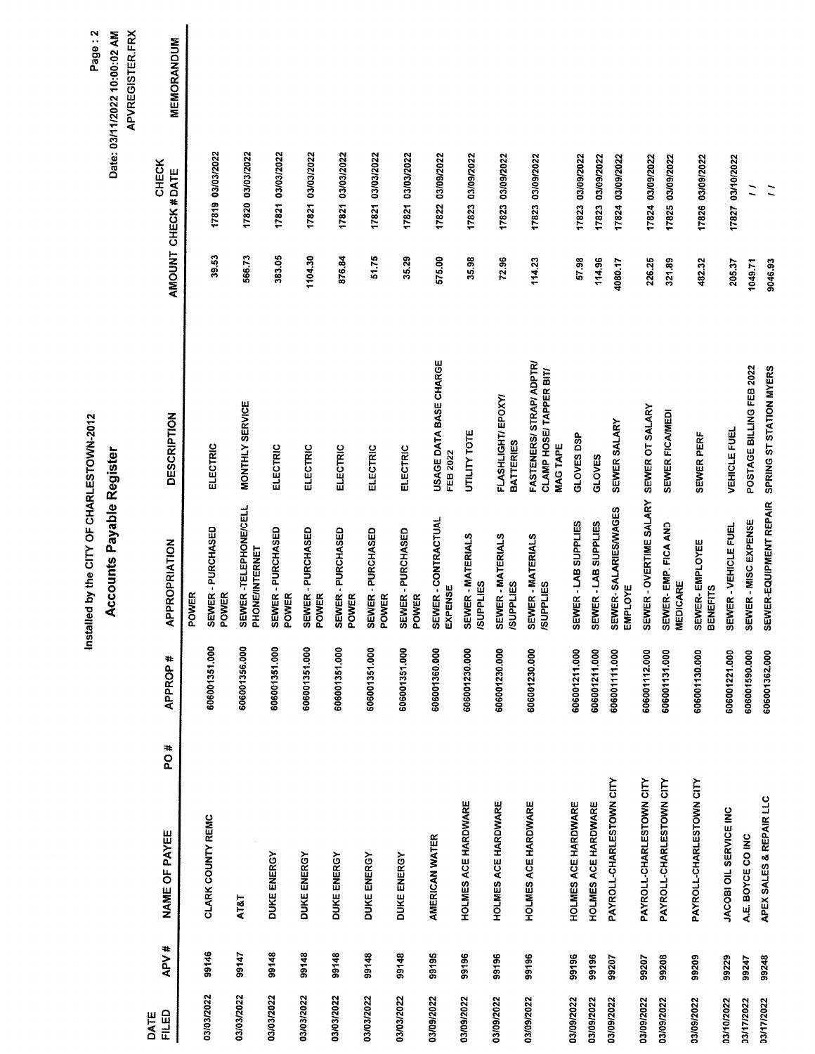|                      |       |                            |     |                | Installed by the CITY OF CHARLESTOWN-2012 |                                                                        |         |                             | Page: 2                                                |
|----------------------|-------|----------------------------|-----|----------------|-------------------------------------------|------------------------------------------------------------------------|---------|-----------------------------|--------------------------------------------------------|
|                      |       |                            |     |                | <b>Accounts Payable Register</b>          |                                                                        |         |                             | Date: 03/11/2022 10:00:02 AM<br><b>APVREGISTER.FRX</b> |
| <b>FILED</b><br>DATE | APV#  | NAME OF PAYEE              | PO# | <b>APPROP#</b> | APPROPRIATION                             | <b>DESCRIPTION</b>                                                     |         | CHECK<br>AMOUNT CHECK #DATE | <b>MEMORANDUM</b>                                      |
|                      |       |                            |     |                | POWER                                     |                                                                        |         |                             |                                                        |
| 03/03/2022           | 99146 | CLARK COUNTY REMC          |     | 606001351.000  | SEWER - PURCHASED<br>POWER                | ELECTRIC                                                               | 39.53   | 17819 03/03/2022            |                                                        |
| 03/03/2022           | 99147 | AT&T                       |     | 606001356.000  | SEWER -TELEPHONE/CELL<br>PHONE/INTERNET   | MONTHLY SERVICE                                                        | 566.73  | 17820 03/03/2022            |                                                        |
| 03/03/2022           | 99148 | DUKE ENERGY                |     | 606001351.000  | SEWER - PURCHASED<br>POWER                | ELECTRIC                                                               | 383.05  | 17821 03/03/2022            |                                                        |
| 03/03/2022           | 99148 | DUKE ENERGY                |     | 606001351.000  | SEWER-PURCHASED<br>POWER                  | ELECTRIC                                                               | 1104.30 | 17821 03/03/2022            |                                                        |
| 03/03/2022           | 99148 | DUKE ENERGY                |     | 606001351.000  | SEWER-PURCHASED<br>POWER                  | ELECTRIC                                                               | 876.84  | 17821 03/03/2022            |                                                        |
| 03/03/2022           | 99148 | DUKE ENERGY                |     | 606001351.000  | SEWER - PURCHASED<br>POWER                | ELECTRIC                                                               | 51.75   | 17821 03/03/2022            |                                                        |
| 03/03/2022           | 99148 | DUKE ENERGY                |     | 606001351.000  | SEWER - PURCHASED<br>POWER                | ELECTRIC                                                               | 35.29   | 17821 03/03/2022            |                                                        |
| 03/09/2022           | 99195 | AMERICAN WATER             |     | 606001360.000  | SEWER - CONTRACTUAL<br>EXPENSE            | USAGE DATA BASE CHARGE<br><b>FEB 2022</b>                              | 575.00  | 17822 03/09/2022            |                                                        |
| 03/09/2022           | 99196 | HOLMES ACE HARDWARE        |     | 606001230.000  | SEWER-MATERIALS<br><b>ISUPPLIES</b>       | <b>UTILITY TOTE</b>                                                    | 35.98   | 17823 03/09/2022            |                                                        |
| 03/09/2022           | 99196 | HOLMES ACE HARDWARE        |     | 606001230.000  | SEWER - MATERIALS<br><b>/SUPPLIES</b>     | FLASHLIGHT/EPOXY/<br><b>BATTERIES</b>                                  | 72.96   | 17823 03/09/2022            |                                                        |
| 03/09/2022           | 99196 | HOLMES ACE HARDWARE        |     | 606001230.000  | <b>SEWER - MATERIALS<br/>/SUPPLIES</b>    | FASTENERS/ STRAP/ ADPTR/<br>CLAMP HOSE/ TAPPER BIT/<br><b>MAG TAPE</b> | 114.23  | 17823 03/09/2022            |                                                        |
| 03/09/2022           | 99196 | <b>HOLMES ACE HARDWARE</b> |     | 606001211.000  | SEWER - LAB SUPPLIES                      | GLOVES DSP                                                             | 57.98   | 17823 03/09/2022            |                                                        |
| 03/09/2022           | 99196 | HOLMES ACE HARDWARE        |     | 606001211.000  | SEWER - LAB SUPPLIES                      | GLOVES                                                                 | 114.96  | 17823 03/09/2022            |                                                        |
| 03/09/2022           | 99207 | PAYROLL-CHARLESTOWN CITY   |     | 606001111.000  | SEWER-SALARIES/WAGES<br><b>EMPLOYE</b>    | SEWER SALARY                                                           | 4080.17 | 17824 03/09/2022            |                                                        |
| 03/09/2022           | 99207 | PAYROLL-CHARLESTOWN CITY   |     | 606001112.000  | SEWER - OVERTIME SALARY                   | SEWER OT SALARY                                                        | 226.25  | 17824 03/09/2022            |                                                        |
| 33/09/2022           | 99208 | PAYROLL-CHARLESTOWN CITY   |     | 606001131.000  | SEWER- EMP. FICA AND<br><b>MEDICARE</b>   | SEWER FICAMEDI                                                         | 321.89  | 17825 03/09/2022            |                                                        |
| 3/09/2022            | 99209 | PAYROLL-CHARLESTOWN CITY   |     | 606001130.000  | SEWER-EMPLOYEE<br><b>BENEFITS</b>         | SEWER PERF                                                             | 482.32  | 17826 03/09/2022            |                                                        |
| 03/10/2022           | 99229 | JACOBI OIL SERVICE INC     |     | 606001221.000  | SEWER - VEHICLE FUEL                      | <b>VEHICLE FUEL</b>                                                    | 205.37  | 17827 03/10/2022            |                                                        |
| 3/17/2022            | 99247 | A.E. BOYCE CO INC          |     | 606001590.000  | SEWER - MISC EXPENSE                      | POSTAGE BILLING FEB 2022                                               | 1049.71 |                             |                                                        |
| 3/17/2022            | 99248 | APEX SALES & REPAIR LLC    |     | 606001362.000  | SEWER-EQUIPMENT REPAIR                    | SPRING ST STATION MYERS                                                | 9046.93 |                             |                                                        |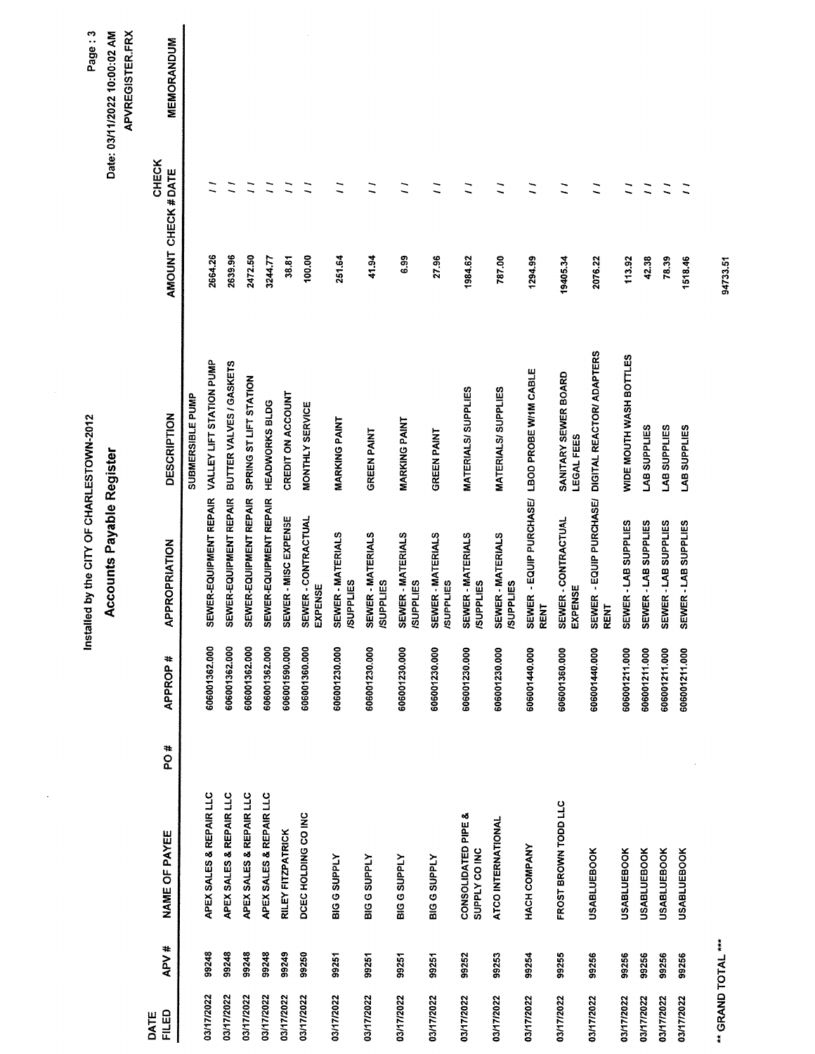|               |       |                                     |                | Installed by the CITY OF CHARLESTOWN-2012             |                                    |                    |                | Page: 3                                         |
|---------------|-------|-------------------------------------|----------------|-------------------------------------------------------|------------------------------------|--------------------|----------------|-------------------------------------------------|
|               |       |                                     |                | Accounts Payable Register                             |                                    |                    |                | APVREGISTER.FRX<br>Date: 03/11/2022 10:00:02 AM |
| FILED<br>DATE | APV#  | PO#<br>NAME OF PAYEE                | <b>APPROP#</b> | <b>APPROPRIATION</b>                                  | <b>DESCRIPTION</b>                 | AMOUNT CHECK #DATE | <b>CHECK</b>   | <b>MEMORANDUM</b>                               |
|               |       |                                     |                |                                                       | SUBMERSIBLE PUMP                   |                    |                |                                                 |
| 03/17/2022    | 99248 | APEX SALES & REPAIR LLC             | 606001362.000  | SEWER-EQUIPMENT REPAIR                                | VALLEY LIFT STATION PUMP           | 2664.26            |                |                                                 |
| 03/17/2022    | 99248 | APEX SALES & REPAIR LLC             | 606001362.000  | SEWER-EQUIPMENT REPAIR                                | BUTTER VALVES / GASKETS            | 2639.96            |                |                                                 |
| 03/17/2022    | 99248 | APEX SALES & REPAIR LLC             | 606001362.000  | SEWER-EQUIPMENT REPAIR                                | SPRING ST LIFT STATION             | 2472.50            |                |                                                 |
| 03/17/2022    | 99248 | APEX SALES & REPAIR LLC             | 606001362.000  | SEWER-EQUIPMENT REPAIR HEADWORKS BLDG                 |                                    | 3244.77            | Ξ              |                                                 |
| 03/17/2022    | 99249 | RILEY FITZPATRICK                   | 606001590.000  | SEWER - MISC EXPENSE                                  | CREDIT ON ACCOUNT                  | 38.81              |                |                                                 |
| 03/17/2022    | 99250 | DCEC HOLDING CO INC                 | 606001360.000  | SEWER - CONTRACTUAL<br>EXPENSE                        | MONTHLY SERVICE                    | 100.00             |                |                                                 |
| 03/17/2022    | 99251 | <b>BIG G SUPPLY</b>                 | 606001230.000  | SEWER-MATERIALS<br><b>/SUPPLIES</b>                   | <b>MARKING PAINT</b>               | 251.64             |                |                                                 |
| 03/17/2022    | 99251 | <b>BIG G SUPPLY</b>                 | 606001230.000  | <b>SEWER - MATERIALS<br/>/SUPPLIES</b>                | <b>GREEN PAINT</b>                 | 41.94              | Ξ              |                                                 |
| 03/17/2022    | 99251 | <b>BIG G SUPPLY</b>                 | 606001230.000  | SEWER - MATERIALS<br><b>ISUPPLIES</b>                 | <b>MARKING PAINT</b>               | 6.99               | Ξ              |                                                 |
| 03/17/2022    | 99251 | <b>BIG G SUPPLY</b>                 | 606001230.000  | <b>SEWER - MATERIALS<br/>/SUPPLIES</b>                | <b>GREEN PAINT</b>                 | 27.96              | $\overline{a}$ |                                                 |
| 03/17/2022    | 99252 | CONSOLIDATED PIPE &<br>SUPPLY COINC | 606001230.000  | SEWER - MATERIALS<br><b>ISUPPLIES</b>                 | MATERIALS/SUPPLIES                 | 1984.62            | Ξ              |                                                 |
| 03/17/2022    | 99253 | ATCO INTERNATIONAL                  | 606001230.000  | SEWER - MATERIALS<br><b>/SUPPLIES</b>                 | <b>MATERIALS/SUPPLIES</b>          | 787.00             |                |                                                 |
| 03/17/2022    | 99254 | HACH COMPANY                        | 606001440.000  | SEWER - EQUIP PURCHASE/ LBOD PROBE W/1M CABLE<br>RENT |                                    | 1294.99            | $\overline{1}$ |                                                 |
| 03/17/2022    | 99255 | FROST BROWN TODD LLC                | 606001360.000  | SEWER - CONTRACTUAL<br>EXPENSE                        | SANITARY SEWER BOARD<br>LEGAL FEES | 19405.34           | Ξ              |                                                 |
| 03/17/2022    | 99256 | <b>USABLUEBOOK</b>                  | 606001440.000  | SEWER - EQUIP PURCHASE/<br><b>RENT</b>                | DIGITAL REACTOR/ ADAPTERS          | 2076.22            | Ξ              |                                                 |
| 03/17/2022    | 99256 | <b>USABLUEBOOK</b>                  | 606001211.000  | SEWER - LAB SUPPLIES                                  | WIDE MOUTH WASH BOTTLES            | 113.92             | Ξ              |                                                 |
| 03/17/2022    | 99256 | <b>USABLUEBOOK</b>                  | 606001211.000  | SEWER-LAB SUPPLIES                                    | LAB SUPPLIES                       | 42.38              | $\overline{a}$ |                                                 |
| 03/17/2022    | 99256 | <b>USABLUEBOOK</b>                  | 606001211.000  | SEWER - LAB SUPPLIES                                  | LAB SUPPLIES                       | 78.39              | Ξ              |                                                 |
| 03/17/2022    | 99256 | <b>USABLUEBOOK</b>                  | 606001211.000  | SEWER - LAB SUPPLIES                                  | LAB SUPPLIES                       | 1518.46            |                |                                                 |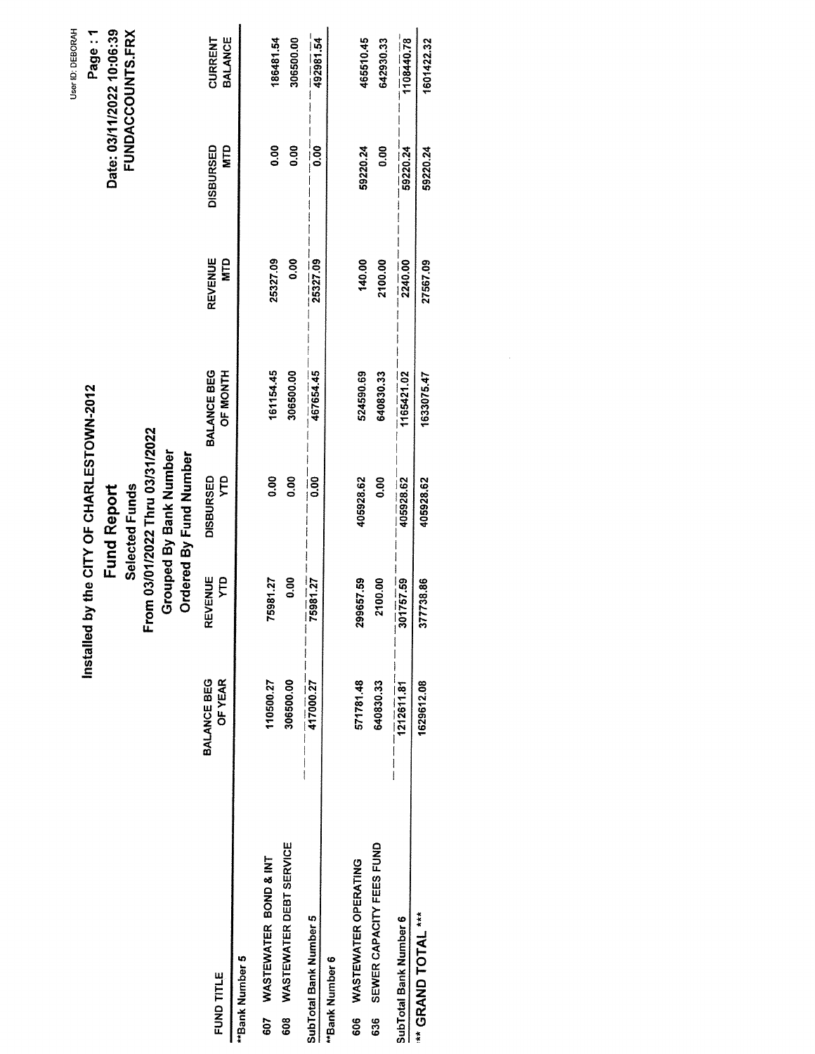|                                       |                        | Installed by the CITY OF CHARLESTOWN-2012 |                                 |                                |                              |                         | User ID: DEBORAH          |
|---------------------------------------|------------------------|-------------------------------------------|---------------------------------|--------------------------------|------------------------------|-------------------------|---------------------------|
|                                       |                        |                                           |                                 |                                |                              |                         | Page: 1                   |
|                                       |                        |                                           | <b>Fund Report</b>              |                                |                              |                         | Date: 03/11/2022 10:06:39 |
|                                       |                        |                                           | Selected Funds                  |                                |                              |                         | <b>FUNDACCOUNTS.FRX</b>   |
|                                       |                        |                                           | From 03/01/2022 Thru 03/31/2022 |                                |                              |                         |                           |
|                                       |                        |                                           | Grouped By Bank Number          |                                |                              |                         |                           |
|                                       |                        |                                           | Ordered By Fund Number          |                                |                              |                         |                           |
| FUND TITLE                            | BALANCE BEG<br>OF YEAR | <b>REVENUE</b><br><b>CLX</b>              | DISBURSED<br>ĘЧ                 | BALANCE BEG<br><b>OF MONTH</b> | <b>REVENUE</b><br><b>NTD</b> | <b>DISBURSED</b><br>MTD | BALANCE<br>CURRENT        |
| **Bank Number 5                       |                        |                                           |                                 |                                |                              |                         |                           |
| WASTEWATER BOND & INT<br>607          | 110500.27              | 75981.27                                  | 0.00                            | 161154.45                      | 25327.09                     | 0.00                    | 186481.54                 |
| <b>WASTEWATER DEBT SERVICE</b><br>608 | 306500.00              | 0.00                                      | 0.00                            | 306500.00                      | 0.00                         | 0.00                    | 306500.00                 |
| SubTotal Bank Number 5                | 417000.27              | 75981.27                                  | $\frac{1}{0}$                   | 467654.45                      | 25327.09                     | $\frac{1}{6}$           | 492981.54                 |
| "Bank Number 6                        |                        |                                           |                                 |                                |                              |                         |                           |
| <b>WASTEWATER OPERATING</b><br>606    | 571781.48              | 299657.59                                 | 405928.62                       | 524590.69                      | 140.00                       | 59220.24                | 465510.45                 |
| SEWER CAPACITY FEES FUND<br>636       | 640830.33              | 2100.00                                   | 0.00                            | 640830.33                      | 2100.00                      | 0.00                    | 642930.33                 |
| SubTotal Bank Number 6                | 1212611.81             | 301757.59                                 | 405928.62                       | 1165421.02                     | 2240.00                      | 59220.24                | 1108440.78                |
| *** GRAND TOTAL ***                   | 1629612.08             | 377738.86                                 | 405928.62                       | 1633075.47                     | 27567.09                     | 59220.24                | 1601422.32                |
|                                       |                        |                                           |                                 |                                |                              |                         |                           |
|                                       |                        |                                           |                                 |                                |                              |                         |                           |
|                                       |                        |                                           |                                 |                                |                              |                         |                           |
|                                       |                        |                                           |                                 |                                |                              |                         |                           |
|                                       |                        |                                           |                                 |                                |                              |                         |                           |
|                                       |                        |                                           |                                 |                                |                              |                         |                           |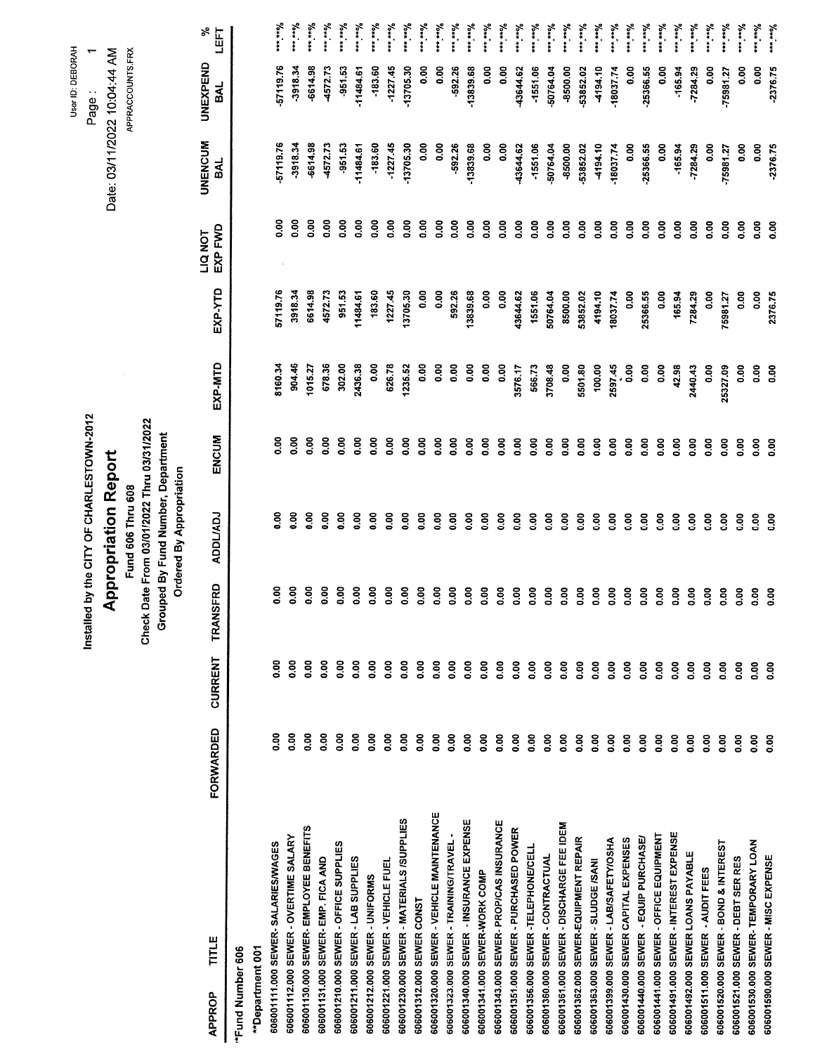|                                           |                |              |                      | Installed by the CITY OF CHARLESTOWN-2012                                                                    |                  |                |               |                           |                              | User ID: DEBORAH<br>Page: |                                       |
|-------------------------------------------|----------------|--------------|----------------------|--------------------------------------------------------------------------------------------------------------|------------------|----------------|---------------|---------------------------|------------------------------|---------------------------|---------------------------------------|
|                                           |                |              |                      | <b>Appropriation Report</b>                                                                                  |                  |                |               |                           | Date: 03/11/2022 10:04:44 AM |                           |                                       |
|                                           |                |              |                      | Fund 606 Thru 608                                                                                            |                  |                |               |                           |                              | APPRACCOUNTS.FRX          |                                       |
|                                           |                |              |                      | Check Date From 03/01/2022 Thru 03/31/2022<br>Grouped By Fund Number, Department<br>Ordered By Appropriation |                  |                |               |                           |                              |                           |                                       |
| TITLE<br>APPROP                           | FORWARDED      | CURRENT      | <b>ISFRD</b><br>TRAN | <b>LONUOOA</b>                                                                                               | ENCUM            | EXP-MTD        | EXP-YTD       | EXP FWD<br><b>LIQ NOT</b> | <b>UNENCUM</b><br>BAL        | <b>UNEXPEND</b><br>BAL    | ళి<br>LEFT                            |
| *Fund Number 606                          |                |              |                      |                                                                                                              |                  |                |               |                           |                              |                           |                                       |
| **Department 001                          |                |              |                      |                                                                                                              |                  |                |               |                           |                              |                           |                                       |
| 60600111.000 SEWER-SALARIES/WAGES         | 8g             | 8g           | 0.00                 | 0.00                                                                                                         | $\frac{8}{2}$    | 3160.34        | 57119.76      | 8<br>0.00                 | 57119.76                     | 57119.76                  | you un                                |
| 606001112.000 SEWER - OVERTIME SALARY     | ខ្លួ           | <b>80.00</b> | 0.00                 | ខ<br>់                                                                                                       | 8 <sub>0</sub>   | 904.46         | 3918.34       | $\frac{8}{9}$             | $-3918.34$                   | $-3918.34$                | Morrison                              |
| 606001130.000 SEWER- EMPLOYEE BENEFITS    | 8<br>0.00      | 0.00         | 8 <sub>0</sub>       | $\frac{8}{9}$                                                                                                | $\frac{8}{9}$    | 1015.27        | 6614.98       | 8co                       | -6614.98                     | -6614.98                  | we way                                |
| 606001131.000 SEWER- EMP. FICA AND        | 0.00           | 0.00         | 0.00                 | oo.o                                                                                                         | 8 <sub>0.0</sub> | 678.36         | 4572.73       | $\frac{8}{9}$             | 4572.73                      | 4572.73                   | manning                               |
| 606001210.000 SEWER - OFFICE SUPPLIES     | 0.00           | 0.00         | 8co                  | <u>ဝ</u> ိ                                                                                                   | $\frac{8}{3}$    | 302.00         | 951.53        | 0.00                      | $-951.53$                    | $-951.53$                 | $y_{\sigma\leftrightarrow\sigma}$     |
| 606001211.000 SEWER - LAB SUPPLIES        | 0.00           | 0.00         | 80.0                 | 0.00                                                                                                         | <b>0.00</b>      | 2436.38        | 11484.61      | $\frac{8}{9}$             | $-11484.61$                  | -11484.61                 | $\frac{9}{10}$                        |
| 606001212.000 SEWER - UNIFORMS            | 0.00           | 0.00         | 0.00                 | ខ<br>់                                                                                                       | $\frac{8}{2}$    | 0.00           | 183.60        | $\frac{8}{9}$             | $-183.60$                    | $-183.60$                 | $y_{0+\mu}$                           |
| 606001221.000 SEWER - VEHICLE FUEL        | O.OO           | 0.00         | 0.00                 | O.OO                                                                                                         | 0.00             | 626.78         | 1227.45       | 0.00                      | $-1227.45$                   | $-1227.45$                | $y_{0+\alpha}$                        |
| 606001230.000 SEWER - MATERIALS /SUPPLIES | 0.00           | 0.00         | 0.00                 | 0.00                                                                                                         | 0.00             | 1235.52        | 13705.30      | 8<br>0.00                 | -13705.30                    | 13705.30                  | $y_{\alpha\leftrightarrow\alpha}$     |
| 606001312.000 SEWER CONST                 | 0.00           | <b>80.0</b>  | 0.00                 | ទី                                                                                                           | 0.00             | 8.00           | 0.00          | o.o                       | O.OO                         | $\frac{8}{2}$             | $\frac{9}{6}$                         |
| 606001320.000 SEWER - VEHICLE MAINTENANCE | 0.00           | 0.00         | 0.00                 | 8.0                                                                                                          | 0.00             | $\frac{8}{10}$ | 8.00          | 0.00                      | O.OO                         | 8.OO                      | $\theta$                              |
| 606001323.000 SEWER - TRAINING/TRAVEL -   | 0.00           | 0.00         | 0.00                 | 0.00                                                                                                         | 0.00             | $\frac{8}{9}$  | 592.26        | 0.00                      | -592.26                      | -592.26                   | $y_{0\nu\cdots\nu}$                   |
| 606001340.000 SEWER - INSURANCE EXPENSE   | 0.00           | 0.00         | 8.00                 | 0.00                                                                                                         | 8.00             | 8.00           | 13839.68      | 0.00                      | -13839.68                    | -13839.68                 | $y_{\rm max}$                         |
| 606001341.000 SEWER-WORK COMP             | 0.00           | 0.00         | 80.0                 | $\frac{8}{9}$                                                                                                | 0.00             | 0.00           | O.OO          | 0.00                      | 8co                          | 8co                       | $\frac{9}{10}$                        |
| 606001343.000 SEWER- PROPICAS INSURANCE   | 0.00           | 0.00         | 0.00                 | 0.00                                                                                                         | 0.00             | 0.00           | $\frac{8}{2}$ | 0.00                      | O.OO                         | 0.00                      | $\theta_{\rm max}$                    |
| 606001351.000 SEWER - PURCHASED POWER     | 0.00           | 0.00         | 0.00                 | 0.00                                                                                                         | 0.00             | 3576.17        | 43644.62      | 0.00                      | 43644.62                     | 43644.62                  | $\epsilon$                            |
| 606001356.000 SEWER -TELEPHONE/CELL       | $\frac{8}{10}$ | 0.00         | 0.00                 | 0.00                                                                                                         | 0.00             | 566.73         | 1551.06       | 0.00                      | $-1551.06$                   | $-1551.06$                | $y_{0}$                               |
| 606001360.000 SEWER - CONTRACTUAL         | 0.00           | 0.00         | 0.00                 | 0.00                                                                                                         | 0.00             | 3708.48        | 50764.04      | 80.0                      | 50764.04                     | -50764.04                 | your in                               |
| 606001361.000 SEWER - DISCHARGE FEE IDEM  | 0.00           | 0.00         | 8 <sub>0</sub>       | 0.00                                                                                                         | 0.00             | 0.00           | 8500.00       | 0.00                      | -8500.00                     | -8500.00                  | $\epsilon_{\mu\nu}$                   |
| 606001362.000 SEWER-EQUIPMENT REPAIR      | 0.00           | 0.00         | 0.00                 | 0.00                                                                                                         | 0.00             | 5501.80        | 53852.02      | 0.00                      | 53852.02                     | -53852.02                 | $y_{0}, \ldots$                       |
| 606001363.000 SEWER - SLUDGE /SANI        | 0.00           | 0.00         | 0.00                 | 0.00                                                                                                         | 0.00             | 100.00         | 4194.10       | 0.00                      | 4194.10                      | 4194.10                   | $y_{\alpha n \alpha}$                 |
| 606001399.000 SEWER - LAB/SAFETY/OSHA     | 0.00           | 0.00         | 0.00                 | 0.00                                                                                                         | 80.0             | 2597.45        | 18037.74      | 0.00                      | -18037.74                    | 18037.74                  | Vous ex                               |
| 606001430.000 SEWER CAPITAL EXPENSES      | 0.00           | 0.00         | 0.00                 | $\frac{8}{9}$                                                                                                | 0.00             | 0.00           | 0.00          | 0.00                      | 0.00                         | $\frac{8}{2}$             | $\gamma_{0\star\star\star\star\star}$ |
| 606001440.000 SEWER - EQUIP PURCHASE/     | 0.00           | 0.00         | 0.00                 | 0.00                                                                                                         | 8 <sub>0</sub>   | 8.00           | 25366.55      | $\frac{8}{9}$             | -25366.55                    | -25366.55                 | your in                               |
| 606001441.000 SEWER - OFFICE EQUIPMENT    | 0.00           | 0.00         | 0.00                 | 0.00                                                                                                         | 0.00             | 0.00           | 0.00          | 0.00                      | 80.0                         | O.OO                      | $\frac{9}{20}$                        |
| 606001491.000 SEWER - INTEREST EXPENSE    | 0.00           | 0.00         | 0.00                 | 0.00                                                                                                         | 8 <sub>0.0</sub> | 42.98          | 165.94        | 0.00                      | $-165.94$                    | $-165.94$                 | $y_{0**}$                             |
| 606001492.000 SEWER LOANS PAYABLE         | 0.00           | 0.00         | 0.00                 | $\frac{8}{2}$                                                                                                | 0.00             | 2440.43        | 7284.29       | 0.00                      | $-7284.29$                   | $-7284.29$                | $\ddot{a}$                            |
| 606001511.000 SEWER - AUDIT FEES          | 0.00           | 80.0         | 0.00                 | 0.00                                                                                                         | $\frac{8}{9}$    | $\frac{8}{9}$  | 0.00          | 8 <sub>0</sub>            | 0.00                         | 8.00                      | $\theta_{\alpha+\alpha}$              |
| 606001520.000 SEWER - BOND & INTEREST     | 0.00           | 0.00         | $\frac{8}{2}$        | 0.00                                                                                                         | $\frac{8}{90}$   | 25327.09       | 75981.27      | 0.00                      | -75981.27                    | -75981.27                 | Vous in                               |
| 606001521.000 SEWER - DEBT SER RES        | $\frac{8}{9}$  | 0.00         | $\frac{8}{9}$        | $\frac{8}{2}$                                                                                                | 8co              | 0.00           | 0.00          | $\frac{8}{9}$             | 0.00                         | 8.OO                      | $y_{\text{0}}$                        |
| 606001530.000 SEWER-TEMPORARY LOAN        | 0.00           | 0.00         | 0.00                 | 0.00                                                                                                         | $\frac{8}{10}$   | 0.00           | 8co           | 0.00                      | 0.00                         | 0.00                      | m.no/                                 |
| 606001590.000 SEWER - MISC EXPENSE        | $\frac{8}{10}$ | 0.00         | 0.00                 | 0.00                                                                                                         | 0.00             | 8co            | 2376.75       | 8co                       | -2376.75                     | -2376.75                  | $\theta$                              |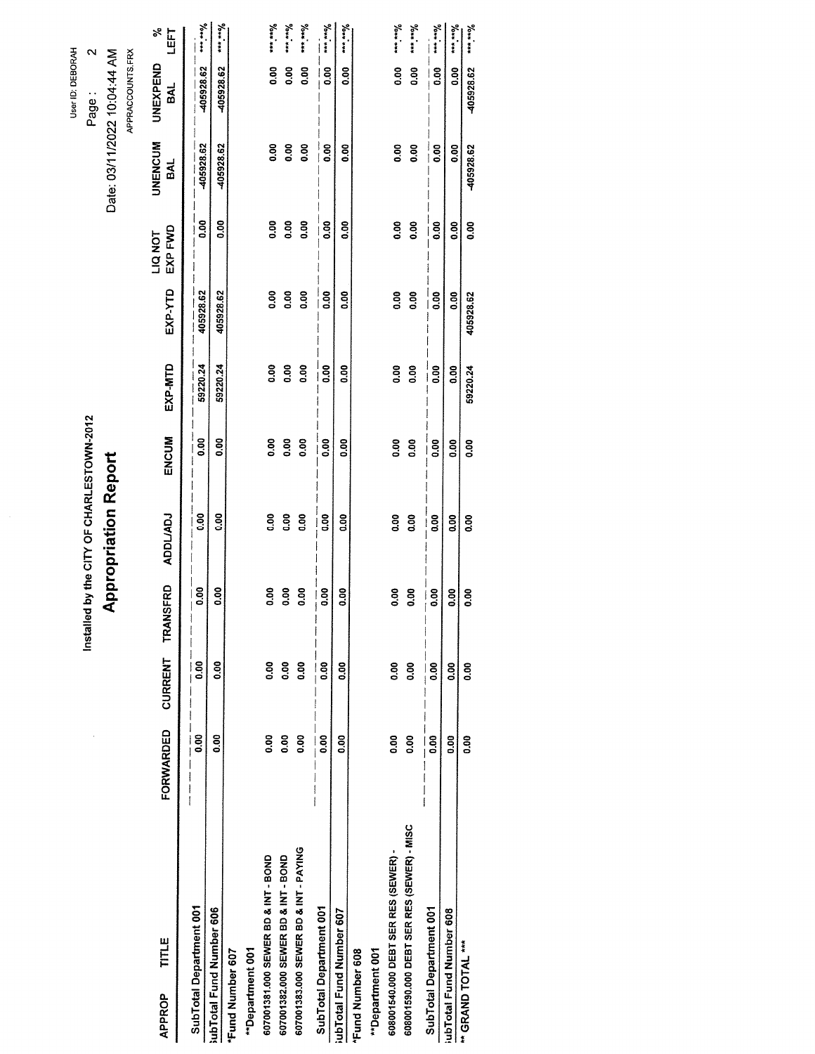|                                           |           |               |                              |                                           |                |               |                |                    |                              | User ID: DEBORAH |                        |
|-------------------------------------------|-----------|---------------|------------------------------|-------------------------------------------|----------------|---------------|----------------|--------------------|------------------------------|------------------|------------------------|
|                                           |           |               |                              | Installed by the CITY OF CHARLESTOWN-2012 |                |               |                |                    |                              | Page:            | $\mathbf{\sim}$        |
|                                           |           |               |                              | <b>Appropriation Report</b>               |                |               |                |                    | Date: 03/11/2022 10:04:44 AM |                  |                        |
|                                           |           |               |                              |                                           |                |               |                |                    |                              | APPRACCOUNTS.FRX |                        |
| TITLE<br><b>APPROP</b>                    | FORWARDED | CURRENT       | <b>ISFRD</b><br><b>TRAN!</b> | <b>ADDL/ADJ</b>                           | ENCUM          | EXP-MTD       | EXP-YTD        | EXP FWD<br>LIQ NOT | <b>UNENCUM</b><br><b>BAL</b> | UNEXPEND<br>BAL  | న<br>LEFT              |
| SubTotal Department 001                   | 8.00      | 0.00          | 80.0<br>$\frac{1}{1}$        | 8 <sub>0</sub>                            | 8.00           | 59220.24      | 405928.62      | 0.00               | 405928.62                    | 405928.62        | $\frac{9}{10}$         |
| subTotal Fund Number 606                  | 80.0      | 8.00          | 0.00                         | 8 <sub>0</sub>                            | ខ្លី           | 59220.24      | 405928.62      | 8<br>0.0           | 405928.62                    | 405928.62        | $\frac{9}{10}$         |
| <b>Fund Number 607</b>                    |           |               |                              |                                           |                |               |                |                    |                              |                  |                        |
| **Department 001                          |           |               |                              |                                           |                |               |                |                    |                              |                  |                        |
| 607001381.000 SEWER BD & INT - BOND       | 8.00      | 80.0          | 0.00                         | 8                                         | 8.00           | $\frac{8}{9}$ | 0.00           | 0.00               | 8.00                         | 8.00             | $y_{\text{0}}$         |
| 607001382.000 SEWER BD & INT - BOND       | 0.00      | 0.00          | $\frac{8}{2}$                | 8.00                                      | 0.00           | $\frac{8}{9}$ | 80.0           | $\frac{8}{9}$      | O.OO                         | <b>SCO</b>       | $y_{\text{max}}$       |
| 607001383.000 SEWER BD & INT - PAYING     | 0.00      | $\frac{8}{9}$ | 0.00                         | $\frac{8}{2}$                             | $\frac{8}{2}$  | 0.00          | $\frac{8}{9}$  | $\frac{8}{9}$      | O.OO                         | 8 <sub>0</sub>   | yan in                 |
| SubTotal Department 001                   | 0.00      | $\frac{8}{2}$ | 8.00                         | $\frac{8}{3}$                             | 8,00           | 8.00          | $\frac{8}{10}$ | 0.00               | 8 <sub>0</sub>               | $\frac{8}{2}$    | of any way             |
| ubTotal Fund Number 607                   | 8.00      | <b>0.00</b>   | 8                            | 8<br>0.00                                 | 8 <sub>3</sub> | 8g            | 80.0           | 8<br>0.00          | ន<br>ទី                      | 80.0             | $\frac{9}{10+x}$       |
| <b>Fund Number 608</b>                    |           |               |                              |                                           |                |               |                |                    |                              |                  |                        |
| **Department 001                          |           |               |                              |                                           |                |               |                |                    |                              |                  |                        |
| 608001540.000 DEBT SER RES (SEWER) -      | 8.00      | 0.00          | 0.00                         | 8°0                                       | 8.00           | <b>0.00</b>   | 0.00           | $\frac{8}{10}$     | 8 <sub>0</sub>               | 0.00             | $\theta_{0}$           |
| 608001590.000 DEBT SER RES (SEWER) - MISC | 8.00      | $\frac{8}{9}$ | 80.0                         | 8co                                       | $\frac{8}{2}$  | $\frac{8}{9}$ | $\frac{8}{9}$  | 0.00               | 0.00                         | 8.00             | $y_{0***}$             |
| SubTotal Department 001                   | 0.00      | 0.00          | $\frac{8}{9}$                | $\frac{8}{6}$<br>I                        | $\frac{8}{2}$  | 0.00          | 0.00           | 8.00               | 8.00                         | $\frac{8}{6}$    | $\mu_{\rm max}$        |
| ubTotal Fund Number 608                   | 0.00      | 8,00          | 0.00                         | 0.00                                      | 8.oo           | 0.00          | $\frac{8}{9}$  | 8.oo               | <b>OO</b>                    | 8co              | $y_{0}$ and            |
| " GRAND TOTAL ***                         | 8.00      | 0.00          | 8<br>0.00                    | O.OO                                      | 8.<br>S        | 59220.24      | 405928.62      | O.OO               | 405928.62                    | 405928.62        | $\theta_{\text{true}}$ |
|                                           |           |               |                              |                                           |                |               |                |                    |                              |                  |                        |